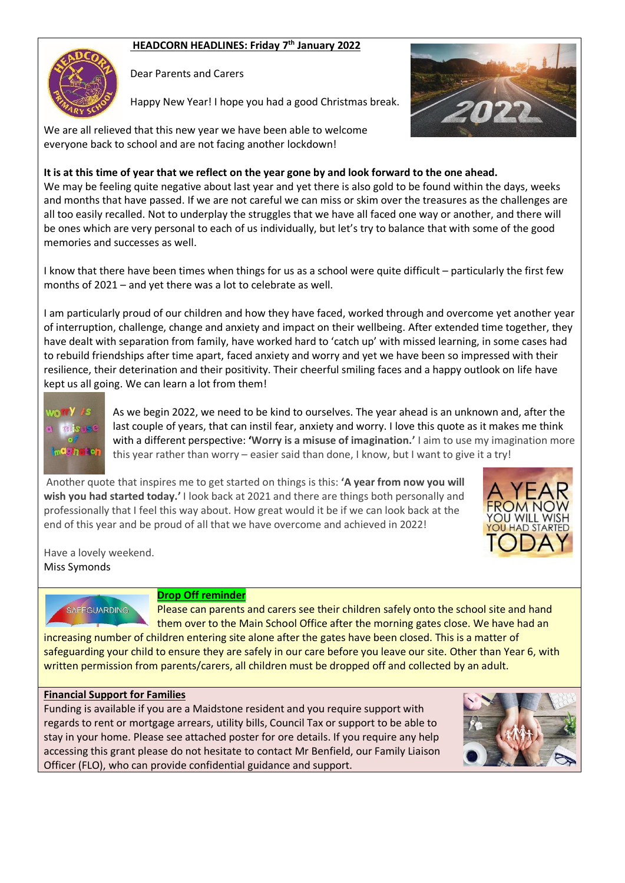# **HEADCORN HEADLINES: Friday 7 th January 2022**



Dear Parents and Carers

Happy New Year! I hope you had a good Christmas break.



We are all relieved that this new year we have been able to welcome everyone back to school and are not facing another lockdown!

## **It is at this time of year that we reflect on the year gone by and look forward to the one ahead.**

We may be feeling quite negative about last year and yet there is also gold to be found within the days, weeks and months that have passed. If we are not careful we can miss or skim over the treasures as the challenges are all too easily recalled. Not to underplay the struggles that we have all faced one way or another, and there will be ones which are very personal to each of us individually, but let's try to balance that with some of the good memories and successes as well.

I know that there have been times when things for us as a school were quite difficult – particularly the first few months of 2021 – and yet there was a lot to celebrate as well.

I am particularly proud of our children and how they have faced, worked through and overcome yet another year of interruption, challenge, change and anxiety and impact on their wellbeing. After extended time together, they have dealt with separation from family, have worked hard to 'catch up' with missed learning, in some cases had to rebuild friendships after time apart, faced anxiety and worry and yet we have been so impressed with their resilience, their deterination and their positivity. Their cheerful smiling faces and a happy outlook on life have kept us all going. We can learn a lot from them!



As we begin 2022, we need to be kind to ourselves. The year ahead is an unknown and, after the last couple of years, that can instil fear, anxiety and worry. I love this quote as it makes me think with a different perspective: **'Worry is a misuse of imagination.'** I aim to use my imagination more this year rather than worry – easier said than done, I know, but I want to give it a try!

Another quote that inspires me to get started on things is this: **'A year from now you will wish you had started today.'** I look back at 2021 and there are things both personally and professionally that I feel this way about. How great would it be if we can look back at the end of this year and be proud of all that we have overcome and achieved in 2022!



Have a lovely weekend. Miss Symonds



### **Drop Off reminder**

Please can parents and carers see their children safely onto the school site and hand them over to the Main School Office after the morning gates close. We have had an

increasing number of children entering site alone after the gates have been closed. This is a matter of safeguarding your child to ensure they are safely in our care before you leave our site. Other than Year 6, with written permission from parents/carers, all children must be dropped off and collected by an adult.

### **Financial Support for Families**

Funding is available if you are a Maidstone resident and you require support with regards to rent or mortgage arrears, utility bills, Council Tax or support to be able to stay in your home. Please see attached poster for ore details. If you require any help accessing this grant please do not hesitate to contact Mr Benfield, our Family Liaison Officer (FLO), who can provide confidential guidance and support.